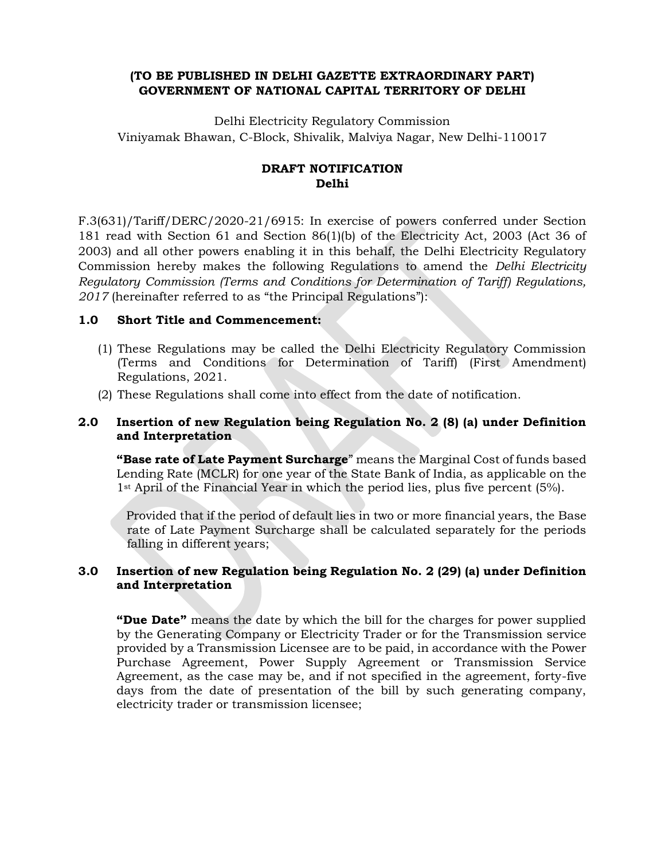#### **(TO BE PUBLISHED IN DELHI GAZETTE EXTRAORDINARY PART) GOVERNMENT OF NATIONAL CAPITAL TERRITORY OF DELHI**

Delhi Electricity Regulatory Commission Viniyamak Bhawan, C-Block, Shivalik, Malviya Nagar, New Delhi-110017

# **DRAFT NOTIFICATION Delhi**

F.3(631)/Tariff/DERC/2020-21/6915: In exercise of powers conferred under Section 181 read with Section 61 and Section 86(1)(b) of the Electricity Act, 2003 (Act 36 of 2003) and all other powers enabling it in this behalf, the Delhi Electricity Regulatory Commission hereby makes the following Regulations to amend the *Delhi Electricity Regulatory Commission (Terms and Conditions for Determination of Tariff) Regulations, 2017* (hereinafter referred to as "the Principal Regulations"):

# **1.0 Short Title and Commencement:**

- (1) These Regulations may be called the Delhi Electricity Regulatory Commission (Terms and Conditions for Determination of Tariff) (First Amendment) Regulations, 2021.
- (2) These Regulations shall come into effect from the date of notification.

## **2.0 Insertion of new Regulation being Regulation No. 2 (8) (a) under Definition and Interpretation**

**"Base rate of Late Payment Surcharge**" means the Marginal Cost of funds based Lending Rate (MCLR) for one year of the State Bank of India, as applicable on the 1st April of the Financial Year in which the period lies, plus five percent (5%).

Provided that if the period of default lies in two or more financial years, the Base rate of Late Payment Surcharge shall be calculated separately for the periods falling in different years;

## **3.0 Insertion of new Regulation being Regulation No. 2 (29) (a) under Definition and Interpretation**

**"Due Date"** means the date by which the bill for the charges for power supplied by the Generating Company or Electricity Trader or for the Transmission service provided by a Transmission Licensee are to be paid, in accordance with the Power Purchase Agreement, Power Supply Agreement or Transmission Service Agreement, as the case may be, and if not specified in the agreement, forty-five days from the date of presentation of the bill by such generating company, electricity trader or transmission licensee;